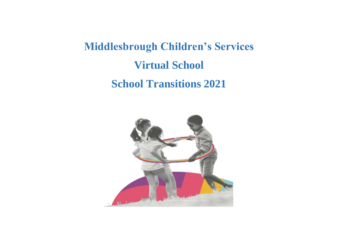# **Middlesbrough Children's Services Virtual School School Transitions 2021**

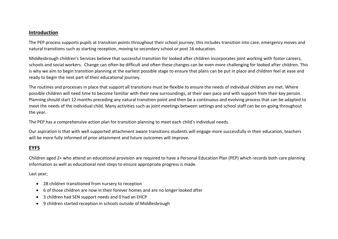### **Introduction**

The PEP process supports pupils at transition points throughout their school journey; this includes transition into care, emergency moves and natural transitions such as starting reception, moving to secondary school or post 16 education.

Middlesbrough children's Services believe that successful transition for looked after children incorporates joint working with foster careers, schools and social workers. Change can often be difficult and often these changes can be even more challenging for looked after children. This is why we aim to begin transition planning at the earliest possible stage to ensure that plans can be put in place and children feel at ease and ready to begin the next part of their educational journey.

The routines and processes in place that support all transitions must be flexible to ensure the needs of individual children are met. Where possible children will need time to become familiar with their new surroundings, at their own pace and with support from their key person. Planning should start 12 months preceding any natural transition point and then be a continuous and evolving process that can be adapted to meet the needs of the individual child. Many activities such as joint meetings between settings and school staff can be on-going throughout the year.

The PEP has a comprehensive action plan for transition planning to meet each child's individual needs.

Our aspiration is that with well supported attachment aware transitions students will engage more successfully in their education, teachers will be more fully informed of prior attainment and future outcomes will improve.

### **EYFS**

Children aged 2+ who attend an educational provision are required to have a Personal Education Plan (PEP) which records both care planning information as well as educational next steps to ensure appropriate progress is made.

Last year;

- 28 children transitioned from nursery to reception
- 6 of those children are now in their forever homes and are no longer looked after
- 3 children had SEN support needs and 0 had an EHCP
- 9 children started reception in schools outside of Middlesbrough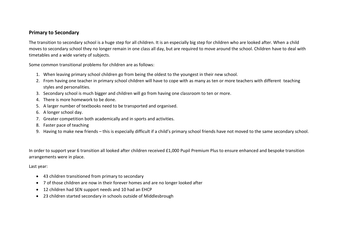### **Primary to Secondary**

The transition to secondary school is a huge step for all children. It is an especially big step for children who are looked after. When a child moves to secondary school they no longer remain in one class all day, but are required to move around the school. Children have to deal with timetables and a wide variety of subjects.

Some common transitional problems for children are as follows:

- 1. When leaving primary school children go from being the oldest to the youngest in their new school.
- 2. From having one teacher in primary school children will have to cope with as many as ten or more teachers with different teaching styles and personalities.
- 3. Secondary school is much bigger and children will go from having one classroom to ten or more.
- 4. There is more homework to be done.
- 5. A larger number of textbooks need to be transported and organised.
- 6. A longer school day.
- 7. Greater competition both academically and in sports and activities.
- 8. Faster pace of teaching
- 9. Having to make new friends this is especially difficult if a child's primary school friends have not moved to the same secondary school.

In order to support year 6 transition all looked after children received £1,000 Pupil Premium Plus to ensure enhanced and bespoke transition arrangements were in place.

Last year:

- 43 children transitioned from primary to secondary
- 7 of those children are now in their forever homes and are no longer looked after
- 12 children had SEN support needs and 10 had an EHCP
- 23 children started secondary in schools outside of Middlesbrough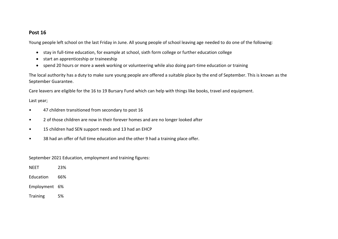### **Post 16**

Young people left school on the last Friday in June. All young people of school leaving age needed to do one of the following:

- stay in full-time education, for example at school, sixth form college or further education college
- start an apprenticeship or traineeship
- spend 20 hours or more a week working or volunteering while also doing part-time education or training

The local authority has a duty to make sure young people are offered a suitable place by the end of September. This is known as the September Guarantee.

Care leavers are eligible for the 16 to 19 Bursary Fund which can help with things like books, travel and equipment.

### Last year;

- 47 children transitioned from secondary to post 16
- 2 of those children are now in their forever homes and are no longer looked after
- 15 children had SEN support needs and 13 had an EHCP
- 38 had an offer of full time education and the other 9 had a training place offer.

September 2021 Education, employment and training figures:

| NEET      | 23% |
|-----------|-----|
| Education | 66% |
|           |     |

Employment 6%

Training 5%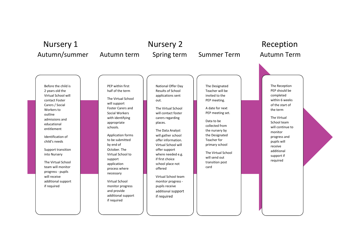## Nursery 1 **Nursery 2** Reception Autumn/summer Autumn term Spring term Summer Term Autumn Term

Before the child is 2 years old the Virtual School will contact Foster Carers / Social Workers to outline admissions and educational entitlement

Identification of child's needs

Support transition into Nursery

The Virtual School team will monitor progress - pupils will receive additional support if required

PEP within first half of the term The Virtual School

will support Foster Carers and Social Workers with identifying appropriate

schools.

Application forms to be submitted by end of October. The Virtual School to support application process where necessary

Virtual School monitor progress and provide additional support if required

National Offer Day Results of School applications sent out.

The Virtual School will contact foster carers regarding places.

The Data Analyst will gather school offer information. Virtual School will offer support where needed e.g. if first choice school place not offered

Virtual School team monitor progress pupils receive additional support if required

The Designated Teacher will be invited to the PEP meeting.

A date for next PEP meeting set.

Data to be collected from the nursery by the Designated Teacher for primary school

The Virtual School will send out transition post card

The Reception PEP should be completed within 6 weeks of the start of the term

The Virtual School team will continue to monitor progress and pupils will receive additional support if required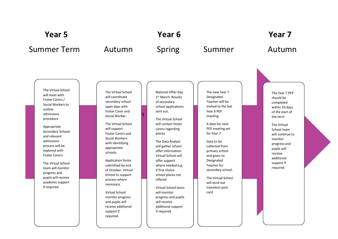